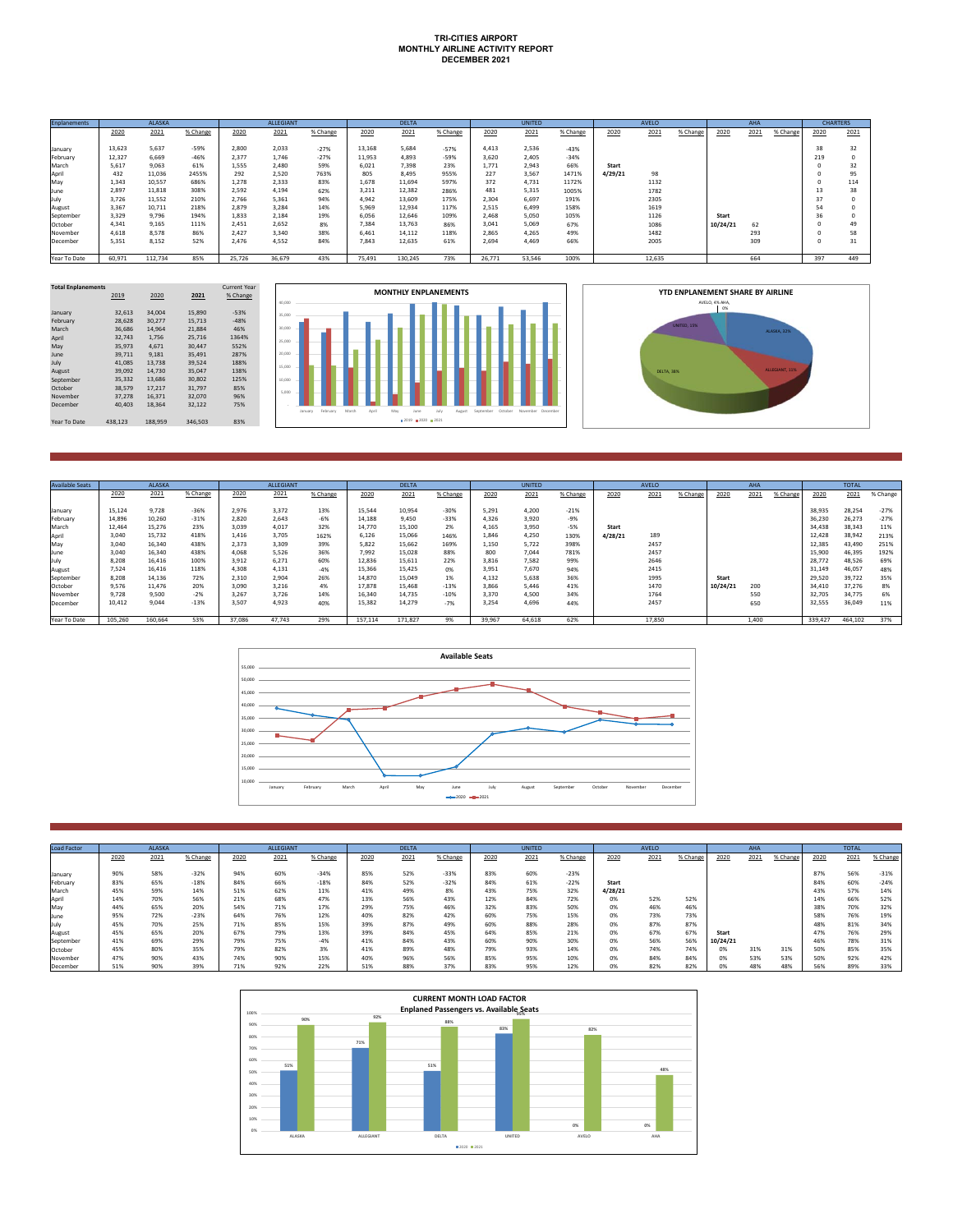## **TRI-CITIES AIRPORT MONTHLY AIRLINE ACTIVITY REPORT DECEMBER 2021**

| <b>Enplanements</b> |        | <b>ALASKA</b> |          |        | ALLEGIANT |          |        | <b>DELTA</b> |          |        | <b>UNITED</b> |          |         | <b>AVELO</b> |          |          | AHA  |          |      | <b>CHARTERS</b> |
|---------------------|--------|---------------|----------|--------|-----------|----------|--------|--------------|----------|--------|---------------|----------|---------|--------------|----------|----------|------|----------|------|-----------------|
|                     | 2020   | 2021          | % Change | 2020   | 2021      | % Change | 2020   | 2021         | % Change | 2020   | 2021          | % Change | 2020    | 2021         | % Change | 2020     | 2021 | % Change | 2020 | 2021            |
| January             | 13.623 | 5.637         | $-59%$   | 2.800  | 2.033     | $-27%$   | 13.168 | 5.684        | $-57%$   | 4.413  | 2.536         | $-43%$   |         |              |          |          |      |          | 38   | 32              |
| February            | 12,327 | 6.669         | $-46%$   | 2.377  | 1.746     | $-27%$   | 11.953 | 4.893        | $-59%$   | 3.620  | 2,405         | $-34%$   |         |              |          |          |      |          | 219  |                 |
| March               | 5.617  | 9.063         | 61%      | 1.555  | 2.480     | 59%      | 6.021  | 7.398        | 23%      | 1.771  | 2.943         | 66%      | Start   |              |          |          |      |          |      | 32              |
| April               | 432    | 11,036        | 2455%    | 292    | 2.520     | 763%     | 805    | 8.495        | 955%     | 227    | 3.567         | 1471%    | 4/29/21 | 98           |          |          |      |          |      | 95              |
| May                 | 1.343  | 10,557        | 686%     | 1.278  | 2.333     | 83%      | 1.678  | 11,694       | 597%     | 372    | 4,731         | 1172%    |         | 1132         |          |          |      |          |      | 114             |
| June                | 2.897  | 11,818        | 308%     | 2.592  | 4.194     | 62%      | 3.211  | 12,382       | 286%     | 481    | 5.315         | 1005%    |         | 1782         |          |          |      |          | 13   | 38              |
| July                | 3,726  | 11,552        | 210%     | 2.766  | 5.361     | 94%      | 4.942  | 13,609       | 175%     | 2.304  | 6,697         | 191%     |         | 2305         |          |          |      |          | 37   |                 |
| August              | 3.367  | 10.711        | 218%     | 2.879  | 3.284     | 14%      | 5.969  | 12.934       | 117%     | 2.515  | 6.499         | 158%     |         | 1619         |          |          |      |          | 54   |                 |
| September           | 3.329  | 9.796         | 194%     | 1.833  | 2.184     | 19%      | 6.056  | 12.646       | 109%     | 2.468  | 5.050         | 105%     |         | 1126         |          | Start    |      |          | 36   |                 |
| October             | 4.341  | 9.165         | 111%     | 2.451  | 2.652     | 8%       | 7.384  | 13,763       | 86%      | 3.041  | 5.069         | 67%      |         | 1086         |          | 10/24/21 | 62   |          |      | 49              |
| November            | 4.618  | 8.578         | 86%      | 2.427  | 3.340     | 38%      | 6.461  | 14.112       | 118%     | 2.865  | 4.265         | 49%      |         | 1482         |          |          | 293  |          |      | 58              |
| December            | 5.351  | 8.152         | 52%      | 2.476  | 4.552     | 84%      | 7.843  | 12.635       | 61%      | 2.694  | 4.469         | 66%      |         | 2005         |          |          | 309  |          |      | 31              |
| Year To Date        | 60,971 | 112,734       | 85%      | 25,726 | 36,679    | 43%      | 75,491 | 130,245      | 73%      | 26,771 | 53,546        | 100%     |         | 12,635       |          |          | 664  |          | 397  | 449             |

| <b>Total Enplanements</b> |         |         |         | <b>Current Year</b> |
|---------------------------|---------|---------|---------|---------------------|
|                           | 2019    | 2020    | 2021    | % Change            |
|                           |         |         |         |                     |
| January                   | 32.613  | 34.004  | 15.890  | $-53%$              |
| February                  | 28.628  | 30,277  | 15.713  | $-48%$              |
| March                     | 36.686  | 14.964  | 21.884  | 46%                 |
| April                     | 32.743  | 1.756   | 25.716  | 1364%               |
| May                       | 35.973  | 4.671   | 30.447  | 552%                |
| lune                      | 39.711  | 9.181   | 35.491  | 287%                |
| July                      | 41.085  | 13.738  | 39.524  | 188%                |
| August                    | 39.092  | 14.730  | 35.047  | 138%                |
| September                 | 35.332  | 13.686  | 30.802  | 125%                |
| October                   | 38.579  | 17.217  | 31.797  | 85%                 |
| November                  | 37.278  | 16.371  | 32,070  | 96%                 |
| December                  | 40.403  | 18.364  | 32.122  | 75%                 |
|                           |         |         |         |                     |
| Year To Date              | 438.123 | 188.959 | 346.503 | 83%                 |
|                           |         |         |         |                     |





| <b>Available Seats</b> |         | <b>ALASKA</b> |          |        | <b>ALLEGIANT</b> |          |         | <b>DELTA</b> |          |        | <b>UNITED</b> |          |         | AVELO  |          |          | AHA   |          |         | <b>TOTAL</b> |          |
|------------------------|---------|---------------|----------|--------|------------------|----------|---------|--------------|----------|--------|---------------|----------|---------|--------|----------|----------|-------|----------|---------|--------------|----------|
|                        |         |               |          |        |                  |          |         |              |          |        |               |          |         |        |          |          |       |          |         |              |          |
|                        | 2020    | 2021          | % Change | 2020   | 2021             | % Change | 2020    | 2021         | % Change | 2020   | 2021          | % Change | 2020    | 2021   | % Change | 2020     | 2021  | % Change | 2020    | 2021         | % Change |
|                        |         |               |          |        |                  |          |         |              |          |        |               |          |         |        |          |          |       |          |         |              |          |
| January                | 15.124  | 9.728         | $-36%$   | 2.976  | 3.372            | 13%      | 15,544  | 10.954       | $-30%$   | 5.291  | 4.200         | $-21%$   |         |        |          |          |       |          | 38,935  | 28,254       | $-27%$   |
| February               | 14.896  | 10.260        | $-31%$   | 2.820  | 2.643            | $-6%$    | 14.188  | 9.450        | $-33%$   | 4.326  | 3.920         | $-9%$    |         |        |          |          |       |          | 36,230  | 26,273       | $-27%$   |
| March                  | 12.464  | 15.276        | 23%      | 3.039  | 4.017            | 32%      | 14.770  | 15.100       | 2%       | 4.165  | 3.950         | $-5%$    | Start   |        |          |          |       |          | 34.438  | 38,343       | 11%      |
| Anri                   | 3.040   | 15.732        | 418%     | 1.416  | 3.705            | 162%     | 6.126   | 15.066       | 146%     | 1.846  | 4,250         | 130%     | 4/28/21 | 189    |          |          |       |          | 12.428  | 38,942       | 213%     |
| May                    | 3.040   | 16.340        | 438%     | 2.373  | 3.309            | 39%      | 5.822   | 15.662       | 169%     | 1.150  | 5.722         | 398%     |         | 2457   |          |          |       |          | 12,385  | 43,490       | 251%     |
| June                   | 3.040   | 16.340        | 438%     | 4.068  | 5.526            | 36%      | 7.992   | 15.028       | 88%      | 800    | 7.044         | 781%     |         | 2457   |          |          |       |          | 15,900  | 46.395       | 192%     |
| uulv.                  | 8.208   | 16.416        | 100%     | 3.912  | 6.271            | 60%      | 12.836  | 15,611       | 22%      | 3.816  | 7,582         | 99%      |         | 2646   |          |          |       |          | 28,772  | 48,526       | 69%      |
| August                 | 7.524   | 16.416        | 118%     | 4.308  | 4.131            | $-4%$    | 15.366  | 15.425       | 0%       | 3.951  | 7.670         | 94%      |         | 2415   |          |          |       |          | 31.149  | 46.057       | 48%      |
| September              | 8.208   | 14,136        | 72%      | 2.310  | 2.904            | 26%      | 14.870  | 15.049       | 1%       | 4.132  | 5.638         | 36%      |         | 1995   |          | Start    |       |          | 29.520  | 39,722       | 35%      |
| October                | 9.576   | 11.476        | 20%      | 3.090  | 3.216            | 4%       | 17,878  | 15.468       | $-13%$   | 3.866  | 5.446         | 41%      |         | 1470   |          | 10/24/21 | 200   |          | 34,410  | 37,276       | 8%       |
| November               | 9.728   | 9.500         | $-2%$    | 3.267  | 3.726            | 14%      | 16.340  | 14.735       | $-10%$   | 3.370  | 4.500         | 34%      |         | 1764   |          |          | 550   |          | 32.705  | 34,775       | 6%       |
| December               | 10.412  | 9.044         | $-13%$   | 3.507  | 4,923            | 40%      | 15.382  | 14.279       | $-7%$    | 3.254  | 4.696         | 44%      |         | 2457   |          |          | 650   |          | 32,555  | 36,049       | 11%      |
|                        |         |               |          |        |                  |          |         |              |          |        |               |          |         |        |          |          |       |          |         |              |          |
| Year To Date           | 105,260 | 160,664       | 53%      | 37,086 | 47,743           | 29%      | 157,114 | 171,827      | 9%       | 39.967 | 64,618        | 62%      |         | 17,850 |          |          | 1,400 |          | 339,427 | 464,102      | 37%      |



| <b>Load Factor</b> |      | <b>ALASKA</b> |          |            | <b>ALLEGIANT</b> |          |      | <b>DELTA</b> |              |      | <b>UNITED</b> |          |         | <b>AVELO</b> |          |          | AHA  |          |      | <b>TOTAL</b> |          |
|--------------------|------|---------------|----------|------------|------------------|----------|------|--------------|--------------|------|---------------|----------|---------|--------------|----------|----------|------|----------|------|--------------|----------|
|                    | 2020 | 2021          | % Change | 2020       | 2021             | % Change | 2020 | 2021         | % Change     | 2020 | 2021          | % Change | 2020    | 2021         | % Change | 2020     | 2021 | % Change | 2020 | 2021         | % Change |
|                    |      |               |          |            |                  |          |      |              |              |      |               |          |         |              |          |          |      |          |      |              |          |
| January            | 90%  | 58%           | $-32%$   | 94%        | 60%              | $-34%$   | 85%  | 52%          | $-33%$       | 83%  | 60%           | $-23%$   |         |              |          |          |      |          | 87%  | 56%          | $-31%$   |
| February           | 83%  | 65%           | $-18%$   | 84%        | 66%              | $-18%$   | 84%  | 52%          | $-32%$       | 84%  | 61%           | $-22%$   | Start   |              |          |          |      |          | 84%  | 60%          | $-24%$   |
| March              | 45%  | 59%           | 14%      | 51%        | 62%              | 11%      | 41%  | 49%          | 8%           | 43%  | 75%           | 32%      | 4/28/21 |              |          |          |      |          | 43%  | 57%          | 14%      |
| Apri               | 14%  | 70%           | 56%      | 21%        | 68%              | 47%      | 13%  | 56%          | 43%          | 12%  | 84%           | 72%      | 0%      | 52%          | 52%      |          |      |          | 14%  | 66%          | 52%      |
| May                | 44%  | 65%           | 20%      | 54%        | 71%              | 17%      | 29%  | 75%          | 46%          | 32%  | 83%           | 50%      | 0%      | 46%          | 46%      |          |      |          | 38%  | 70%          | 32%      |
| June               | 95%  | 72%           | $-23%$   | 64%        | 76%              | 12%      | 40%  | 82%          | 42%          | 60%  | 75%           | 15%      | 0%      | 73%          | 73%      |          |      |          | 58%  | 76%          | 19%      |
|                    | 45%  | 70%           | 25%      | 71%        | 85%              | 15%      | 39%  | 87%          | 49%          | 60%  | 88%           | 28%      | 0%      | 87%          | 87%      |          |      |          | 48%  | 81%          | 34%      |
| August             | 45%  | 65%           | 20%      | 67%        | 79%              | 13%      | 39%  | 84%          | 45%          | 64%  | 85%           | 21%      | 0%      | 67%          | 67%      | Start    |      |          | 47%  | 76%          | 29%      |
| September          | 41%  | 69%           | 29%      | 79%        | 75%              | $-4%$    | 41%  | 84%          | 43%          | 60%  | 90%           | 30%      | 0%      | 56%          | 56%      | 10/24/21 |      |          | 46%  | 78%          | 31%      |
| October            | 45%  | 80%           | 35%      | 79%        | 82%              | 3%       | 41%  | 89%          | 48%          | 79%  | 93%           | 14%      | 0%      | 74%          | 74%      | 0%       | 31%  | 31%      | 50%  | 85%          | 35%      |
| November           | 47%  | 90%           | 43%      | 74%        | 90%              | 15%      | 40%  | 96%          | 56%          | 85%  | 95%           | 10%      | 0%      | 84%          | 84%      | 0%       | 53%  | 53%      | 50%  | 92%          | 42%      |
| December           | 51%  | 90%           | 39%      | 780<br>11% | 92%              | 22%      | 51%  | 88%          | 2701<br>-37% | 83%  | 95%           | 12%      | 0%      | 82%          | 82%      |          | 48%  | 48%      | 56%  | 89%          | 33%      |